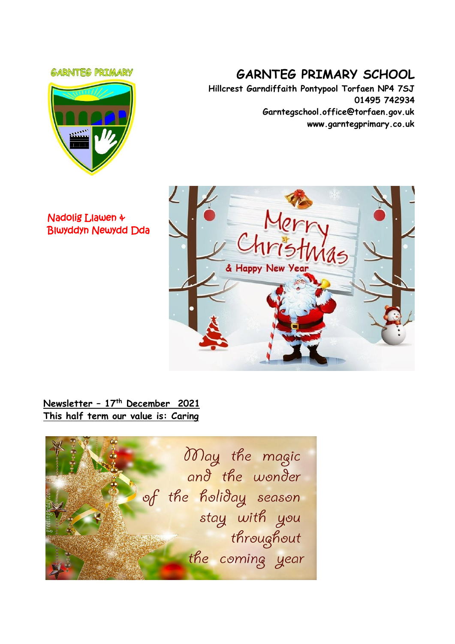#### **GARNTEG PRIMARY**



# **GARNTEG PRIMARY SCHOOL**

**Hillcrest Garndiffaith Pontypool Torfaen NP4 7SJ 01495 742934 Garntegschool.office@torfaen.gov.uk www.garntegprimary.co.uk**

Nadolig Llawen & Blwyddyn Newydd Dda



# **Newsletter – 17 th December 2021 This half term our value is: Caring**

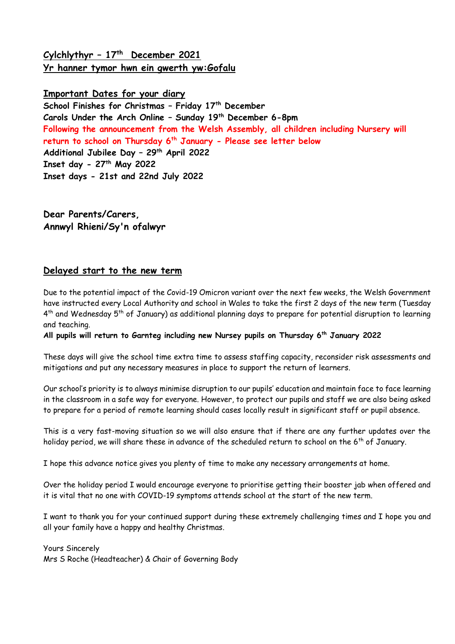# **Cylchlythyr – 17 th December 2021 Yr hanner tymor hwn ein gwerth yw:Gofalu**

# **Important Dates for your diary School Finishes for Christmas – Friday 17th December Carols Under the Arch Online – Sunday 19th December 6-8pm Following the announcement from the Welsh Assembly, all children including Nursery will return to school on Thursday 6th January - Please see letter below Additional Jubilee Day – 29th April 2022 Inset day - 27th May 2022 Inset days - 21st and 22nd July 2022**

**Dear Parents/Carers, Annwyl Rhieni/Sy'n ofalwyr**

### **Delayed start to the new term**

Due to the potential impact of the Covid-19 Omicron variant over the next few weeks, the Welsh Government have instructed every Local Authority and school in Wales to take the first 2 days of the new term (Tuesday 4<sup>th</sup> and Wednesday 5<sup>th</sup> of January) as additional planning days to prepare for potential disruption to learning and teaching.

**All pupils will return to Garnteg including new Nursey pupils on Thursday 6th January 2022**

These days will give the school time extra time to assess staffing capacity, reconsider risk assessments and mitigations and put any necessary measures in place to support the return of learners.

Our school's priority is to always minimise disruption to our pupils' education and maintain face to face learning in the classroom in a safe way for everyone. However, to protect our pupils and staff we are also being asked to prepare for a period of remote learning should cases locally result in significant staff or pupil absence.

This is a very fast-moving situation so we will also ensure that if there are any further updates over the holiday period, we will share these in advance of the scheduled return to school on the 6<sup>th</sup> of January.

I hope this advance notice gives you plenty of time to make any necessary arrangements at home.

Over the holiday period I would encourage everyone to prioritise getting their booster jab when offered and it is vital that no one with COVID-19 symptoms attends school at the start of the new term.

I want to thank you for your continued support during these extremely challenging times and I hope you and all your family have a happy and healthy Christmas.

Yours Sincerely Mrs S Roche (Headteacher) & Chair of Governing Body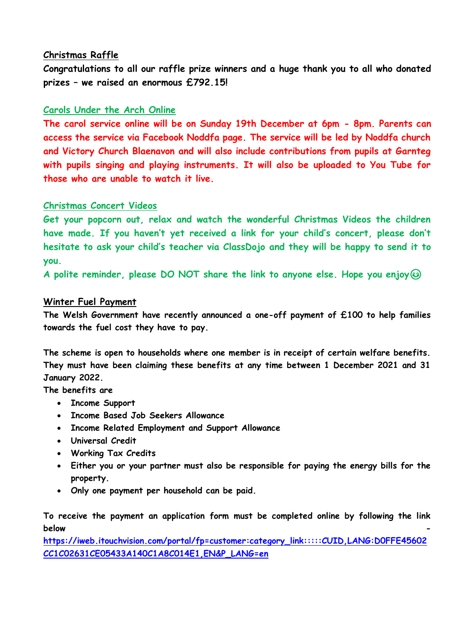#### **Christmas Raffle**

**Congratulations to all our raffle prize winners and a huge thank you to all who donated prizes – we raised an enormous £792.15!**

### **Carols Under the Arch Online**

**The carol service online will be on Sunday 19th December at 6pm - 8pm. Parents can access the service via Facebook Noddfa page. The service will be led by Noddfa church and Victory Church Blaenavon and will also include contributions from pupils at Garnteg with pupils singing and playing instruments. It will also be uploaded to You Tube for those who are unable to watch it live.** 

### **Christmas Concert Videos**

**Get your popcorn out, relax and watch the wonderful Christmas Videos the children have made. If you haven't yet received a link for your child's concert, please don't hesitate to ask your child's teacher via ClassDojo and they will be happy to send it to you.** 

**A polite reminder, please DO NOT share the link to anyone else. Hope you enjoy**

#### **Winter Fuel Payment**

**The Welsh Government have recently announced a one-off payment of £100 to help families towards the fuel cost they have to pay.** 

**The scheme is open to households where one member is in receipt of certain welfare benefits. They must have been claiming these benefits at any time between 1 December 2021 and 31 January 2022.**

**The benefits are**

- **Income Support**
- **Income Based Job Seekers Allowance**
- **Income Related Employment and Support Allowance**
- **Universal Credit**
- **Working Tax Credits**
- **Either you or your partner must also be responsible for paying the energy bills for the property.**
- **Only one payment per household can be paid.**

**To receive the payment an application form must be completed online by following the link below -**

**[https://iweb.itouchvision.com/portal/fp=customer:category\\_link:::::CUID,LANG:D0FFE45602](https://eur03.safelinks.protection.outlook.com/?url=https%3A%2F%2Fiweb.itouchvision.com%2Fportal%2Ff%3Fp%3Dcustomer%3Acategory_link%3A%3A%3A%3A%3ACUID%2CLANG%3AD0FFE45602CC1C02631CE05433A140C1A8C014E1%2CEN%26P_LANG%3Den&data=04%7C01%7Cgarntegschool.office%40torfaen.gov.uk%7C8a19f36e3aae4f73be1008d9ba33812a%7C2c4d0079c52c4bb3b3cad8eaf1b6b7d5%7C0%7C0%7C637745552634570697%7CUnknown%7CTWFpbGZsb3d8eyJWIjoiMC4wLjAwMDAiLCJQIjoiV2luMzIiLCJBTiI6Ik1haWwiLCJXVCI6Mn0%3D%7C3000&sdata=d8OwtLYbjPZ18%2BPK3%2F71I3l8ALc0nWEt7v0kIH%2BnK5Y%3D&reserved=0) [CC1C02631CE05433A140C1A8C014E1,EN&P\\_LANG=en](https://eur03.safelinks.protection.outlook.com/?url=https%3A%2F%2Fiweb.itouchvision.com%2Fportal%2Ff%3Fp%3Dcustomer%3Acategory_link%3A%3A%3A%3A%3ACUID%2CLANG%3AD0FFE45602CC1C02631CE05433A140C1A8C014E1%2CEN%26P_LANG%3Den&data=04%7C01%7Cgarntegschool.office%40torfaen.gov.uk%7C8a19f36e3aae4f73be1008d9ba33812a%7C2c4d0079c52c4bb3b3cad8eaf1b6b7d5%7C0%7C0%7C637745552634570697%7CUnknown%7CTWFpbGZsb3d8eyJWIjoiMC4wLjAwMDAiLCJQIjoiV2luMzIiLCJBTiI6Ik1haWwiLCJXVCI6Mn0%3D%7C3000&sdata=d8OwtLYbjPZ18%2BPK3%2F71I3l8ALc0nWEt7v0kIH%2BnK5Y%3D&reserved=0)**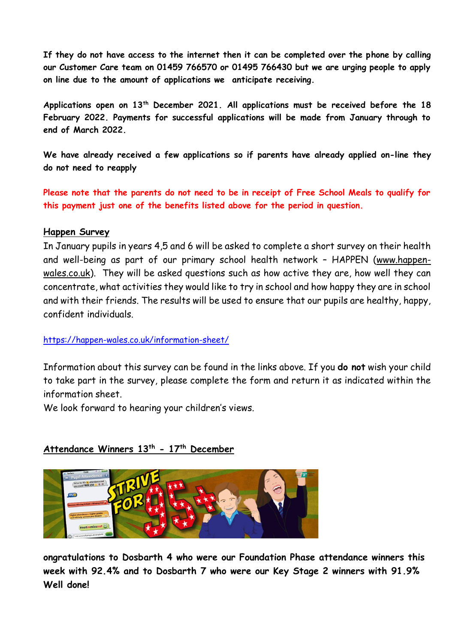**If they do not have access to the internet then it can be completed over the phone by calling our Customer Care team on 01459 766570 or 01495 766430 but we are urging people to apply on line due to the amount of applications we anticipate receiving.**

**Applications open on 13th December 2021. All applications must be received before the 18 February 2022. Payments for successful applications will be made from January through to end of March 2022.**

**We have already received a few applications so if parents have already applied on-line they do not need to reapply**

**Please note that the parents do not need to be in receipt of Free School Meals to qualify for this payment just one of the benefits listed above for the period in question.**

#### **Happen Survey**

In January pupils in years 4,5 and 6 will be asked to complete a short survey on their health and well-being as part of our primary school health network – HAPPEN [\(www.happen](https://eur03.safelinks.protection.outlook.com/?url=http%3A%2F%2Fwww.happen-wales.co.uk%2F&data=04%7C01%7CLinda.Davies%40torfaen.gov.uk%7Ccba7c9cdf62f4c6b03dd08d9b64fe66e%7C2c4d0079c52c4bb3b3cad8eaf1b6b7d5%7C0%7C0%7C637741276539056152%7CUnknown%7CTWFpbGZsb3d8eyJWIjoiMC4wLjAwMDAiLCJQIjoiV2luMzIiLCJBTiI6Ik1haWwiLCJXVCI6Mn0%3D%7C3000&sdata=OXBHW4wW2Ip9c6bKQ%2FhQNte7Mfel5tXdib5spxY6mPo%3D&reserved=0)[wales.co.uk\)](https://eur03.safelinks.protection.outlook.com/?url=http%3A%2F%2Fwww.happen-wales.co.uk%2F&data=04%7C01%7CLinda.Davies%40torfaen.gov.uk%7Ccba7c9cdf62f4c6b03dd08d9b64fe66e%7C2c4d0079c52c4bb3b3cad8eaf1b6b7d5%7C0%7C0%7C637741276539056152%7CUnknown%7CTWFpbGZsb3d8eyJWIjoiMC4wLjAwMDAiLCJQIjoiV2luMzIiLCJBTiI6Ik1haWwiLCJXVCI6Mn0%3D%7C3000&sdata=OXBHW4wW2Ip9c6bKQ%2FhQNte7Mfel5tXdib5spxY6mPo%3D&reserved=0). They will be asked questions such as how active they are, how well they can concentrate, what activities they would like to try in school and how happy they are in school and with their friends. The results will be used to ensure that our pupils are healthy, happy, confident individuals.

### [https://happen-wales.co.uk/information-sheet/](https://eur03.safelinks.protection.outlook.com/?url=https%3A%2F%2Fhappen-wales.co.uk%2Finformation-sheet%2F&data=04%7C01%7CLinda.Davies%40torfaen.gov.uk%7Ccba7c9cdf62f4c6b03dd08d9b64fe66e%7C2c4d0079c52c4bb3b3cad8eaf1b6b7d5%7C0%7C0%7C637741276539066123%7CUnknown%7CTWFpbGZsb3d8eyJWIjoiMC4wLjAwMDAiLCJQIjoiV2luMzIiLCJBTiI6Ik1haWwiLCJXVCI6Mn0%3D%7C3000&sdata=B1HtoQdy5coc70gbKZYChWvYK3bUxoGx6tKzs%2FRqSPo%3D&reserved=0)

Information about this survey can be found in the links above. If you **do not** wish your child to take part in the survey, please complete the form and return it as indicated within the information sheet.

We look forward to hearing your children's views.

### **Attendance Winners 13th - 17th December**



**ongratulations to Dosbarth 4 who were our Foundation Phase attendance winners this week with 92.4% and to Dosbarth 7 who were our Key Stage 2 winners with 91.9% Well done!**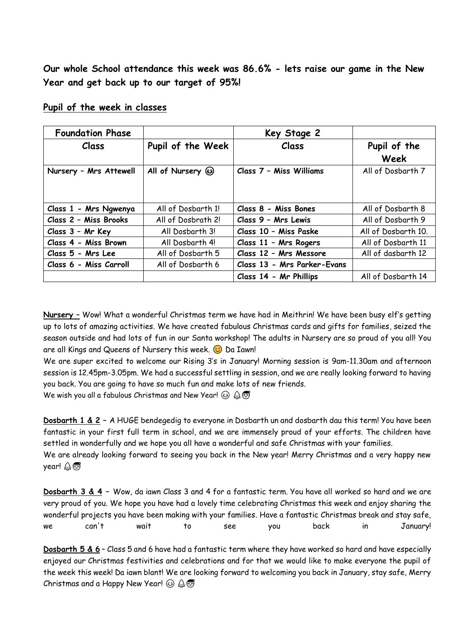**Our whole School attendance this week was 86.6% - lets raise our game in the New Year and get back up to our target of 95%!**

| <b>Foundation Phase</b> |                    | Key Stage 2                 |                     |
|-------------------------|--------------------|-----------------------------|---------------------|
| <b>Class</b>            | Pupil of the Week  | Class                       | Pupil of the        |
|                         |                    |                             | Week                |
| Nursery - Mrs Attewell  | All of Nursery 3   | Class 7 - Miss Williams     | All of Dosbarth 7   |
|                         |                    |                             |                     |
|                         |                    |                             |                     |
| Class 1 - Mrs Ngwenya   | All of Dosbarth 1! | Class 8 - Miss Bones        | All of Dosbarth 8   |
| Class 2 - Miss Brooks   | All of Dosbrath 2! | Class 9 - Mrs Lewis         | All of Dosbarth 9   |
| Class 3 - Mr Key        | All Dosbarth 3!    | Class 10 - Miss Paske       | All of Dosbarth 10. |
| Class 4 - Miss Brown    | All Dosbarth 4!    | Class 11 - Mrs Rogers       | All of Dosbarth 11  |
| Class 5 - Mrs Lee       | All of Dosbarth 5  | Class 12 - Mrs Messore      | All of dasbarth 12  |
| Class 6 - Miss Carroll  | All of Dosbarth 6  | Class 13 - Mrs Parker-Evans |                     |
|                         |                    | Class 14 - Mr Phillips      | All of Dosbarth 14  |

#### **Pupil of the week in classes**

**Nursery –** Wow! What a wonderful Christmas term we have had in Meithrin! We have been busy elf's getting up to lots of amazing activities. We have created fabulous Christmas cards and gifts for families, seized the season outside and had lots of fun in our Santa workshop! The adults in Nursery are so proud of you all! You are all Kings and Queens of Nursery this week.  $\odot$  Da Iawn!

We are super excited to welcome our Rising 3's in January! Morning session is 9am-11.30am and afternoon session is 12.45pm-3.05pm. We had a successful settling in session, and we are really looking forward to having you back. You are going to have so much fun and make lots of new friends.

We wish you all a fabulous Christmas and New Year!  $\odot \mathcal{Q} \oplus$ 

**Dosbarth 1 & 2 –** A HUGE bendegedig to everyone in Dosbarth un and dosbarth dau this term! You have been fantastic in your first full term in school, and we are immensely proud of your efforts. The children have settled in wonderfully and we hope you all have a wonderful and safe Christmas with your families. We are already looking forward to seeing you back in the New year! Merry Christmas and a very happy new year! 公司

**Dosbarth 3 & 4 –** Wow, da iawn Class 3 and 4 for a fantastic term. You have all worked so hard and we are very proud of you. We hope you have had a lovely time celebrating Christmas this week and enjoy sharing the wonderful projects you have been making with your families. Have a fantastic Christmas break and stay safe, we can't wait to see you back in January!

**Dosbarth 5 & 6** – Class 5 and 6 have had a fantastic term where they have worked so hard and have especially enjoyed our Christmas festivities and celebrations and for that we would like to make everyone the pupil of the week this week! Da iawn blant! We are looking forward to welcoming you back in January, stay safe, Merry Christmas and a Happy New Year!  $\odot$   $\circledR$